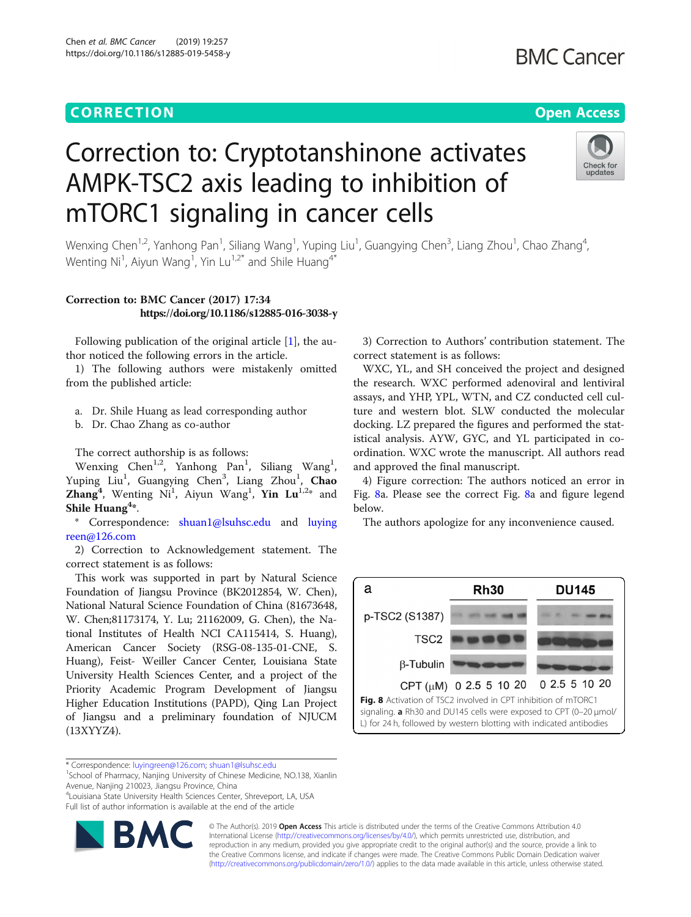## CORR EC TION Open [Access](http://crossmark.crossref.org/dialog/?doi=10.1186/s12885-019-5458-y&domain=pdf)

# Correction to: Cryptotanshinone activates AMPK-TSC2 axis leading to inhibition of mTORC1 signaling in cancer cells



Wenxing Chen<sup>1,2</sup>, Yanhong Pan<sup>1</sup>, Siliang Wang<sup>1</sup>, Yuping Liu<sup>1</sup>, Guangying Chen<sup>3</sup>, Liang Zhou<sup>1</sup>, Chao Zhang<sup>4</sup> , Wenting Ni<sup>1</sup>, Aiyun Wang<sup>1</sup>, Yin Lu<sup>1,2\*</sup> and Shile Huang<sup>4\*</sup>

### Correction to: BMC Cancer (2017) 17:34 https://doi.org/10.1186/s12885-016-3038-y

Following publication of the original article [\[1](#page-1-0)], the author noticed the following errors in the article.

1) The following authors were mistakenly omitted from the published article:

- a. Dr. Shile Huang as lead corresponding author
- b. Dr. Chao Zhang as co-author

The correct authorship is as follows:

Wenxing Chen<sup>1,2</sup>, Yanhong Pan<sup>1</sup>, Siliang Wang<sup>1</sup>, Yuping Liu<sup>1</sup>, Guangying Chen<sup>3</sup>, Liang Zhou<sup>1</sup>, Chao Zhang<sup>4</sup>, Wenting Ni<sup>1</sup>, Aiyun Wang<sup>1</sup>, Yin Lu<sup>1,2\*</sup> and Shile  $Huang<sup>4</sup>*$ .

\* Correspondence: [shuan1@lsuhsc.edu](mailto:shuan1@lsuhsc.edu) and [luying](mailto:luyingreen@126.com) [reen@126.com](mailto:luyingreen@126.com)

2) Correction to Acknowledgement statement. The correct statement is as follows:

This work was supported in part by Natural Science Foundation of Jiangsu Province (BK2012854, W. Chen), National Natural Science Foundation of China (81673648, W. Chen;81173174, Y. Lu; 21162009, G. Chen), the National Institutes of Health NCI CA115414, S. Huang), American Cancer Society (RSG-08-135-01-CNE, S. Huang), Feist- Weiller Cancer Center, Louisiana State University Health Sciences Center, and a project of the Priority Academic Program Development of Jiangsu Higher Education Institutions (PAPD), Qing Lan Project of Jiangsu and a preliminary foundation of NJUCM (13XYYZ4).

\* Correspondence: [luyingreen@126.com](mailto:luyingreen@126.com); [shuan1@lsuhsc.edu](mailto:shuan1@lsuhsc.edu) <sup>1</sup>

4 Louisiana State University Health Sciences Center, Shreveport, LA, USA Full list of author information is available at the end of the article



WXC, YL, and SH conceived the project and designed the research. WXC performed adenoviral and lentiviral assays, and YHP, YPL, WTN, and CZ conducted cell culture and western blot. SLW conducted the molecular docking. LZ prepared the figures and performed the statistical analysis. AYW, GYC, and YL participated in coordination. WXC wrote the manuscript. All authors read and approved the final manuscript.

4) Figure correction: The authors noticed an error in Fig. 8a. Please see the correct Fig. 8a and figure legend below.

The authors apologize for any inconvenience caused.





© The Author(s). 2019 **Open Access** This article is distributed under the terms of the Creative Commons Attribution 4.0 International License [\(http://creativecommons.org/licenses/by/4.0/](http://creativecommons.org/licenses/by/4.0/)), which permits unrestricted use, distribution, and reproduction in any medium, provided you give appropriate credit to the original author(s) and the source, provide a link to the Creative Commons license, and indicate if changes were made. The Creative Commons Public Domain Dedication waiver [\(http://creativecommons.org/publicdomain/zero/1.0/](http://creativecommons.org/publicdomain/zero/1.0/)) applies to the data made available in this article, unless otherwise stated.

<sup>&</sup>lt;sup>1</sup>School of Pharmacy, Nanjing University of Chinese Medicine, NO.138, Xianlin Avenue, Nanjing 210023, Jiangsu Province, China